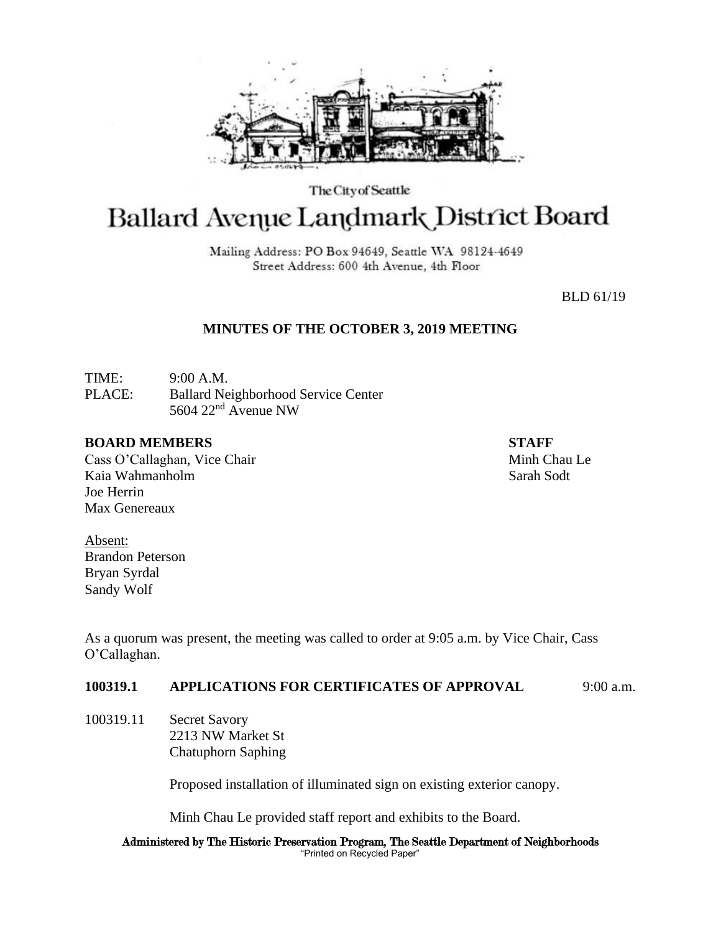

The City of Seattle

# Ballard Avenue Landmark District Board

Mailing Address: PO Box 94649, Seattle WA 98124-4649 Street Address: 600 4th Avenue, 4th Floor

BLD 61/19

# **MINUTES OF THE OCTOBER 3, 2019 MEETING**

TIME: 9:00 A.M. PLACE: Ballard Neighborhood Service Center 5604 22nd Avenue NW

### **BOARD MEMBERS STAFF**

Cass O'Callaghan, Vice Chair Minh Chau Le Kaia Wahmanholm Sarah Sodt Joe Herrin Max Genereaux

Absent: Brandon Peterson Bryan Syrdal Sandy Wolf

As a quorum was present, the meeting was called to order at 9:05 a.m. by Vice Chair, Cass O'Callaghan.

## **100319.1 APPLICATIONS FOR CERTIFICATES OF APPROVAL** 9:00 a.m.

100319.11 Secret Savory 2213 NW Market St Chatuphorn Saphing

Proposed installation of illuminated sign on existing exterior canopy.

Minh Chau Le provided staff report and exhibits to the Board.

Administered by The Historic Preservation Program, The Seattle Department of Neighborhoods "Printed on Recycled Paper"